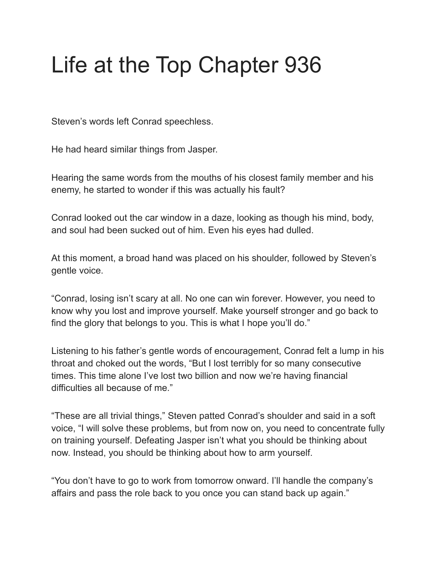## Life at the Top Chapter 936

Steven's words left Conrad speechless.

He had heard similar things from Jasper.

Hearing the same words from the mouths of his closest family member and his enemy, he started to wonder if this was actually his fault?

Conrad looked out the car window in a daze, looking as though his mind, body, and soul had been sucked out of him. Even his eyes had dulled.

At this moment, a broad hand was placed on his shoulder, followed by Steven's gentle voice.

"Conrad, losing isn't scary at all. No one can win forever. However, you need to know why you lost and improve yourself. Make yourself stronger and go back to find the glory that belongs to you. This is what I hope you'll do."

Listening to his father's gentle words of encouragement, Conrad felt a lump in his throat and choked out the words, "But I lost terribly for so many consecutive times. This time alone I've lost two billion and now we're having financial difficulties all because of me."

"These are all trivial things," Steven patted Conrad's shoulder and said in a soft voice, "I will solve these problems, but from now on, you need to concentrate fully on training yourself. Defeating Jasper isn't what you should be thinking about now. Instead, you should be thinking about how to arm yourself.

"You don't have to go to work from tomorrow onward. I'll handle the company's affairs and pass the role back to you once you can stand back up again."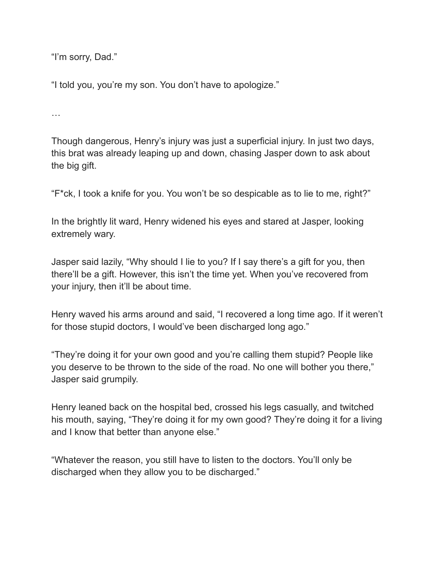"I'm sorry, Dad."

"I told you, you're my son. You don't have to apologize."

…

Though dangerous, Henry's injury was just a superficial injury. In just two days, this brat was already leaping up and down, chasing Jasper down to ask about the big gift.

"F\*ck, I took a knife for you. You won't be so despicable as to lie to me, right?"

In the brightly lit ward, Henry widened his eyes and stared at Jasper, looking extremely wary.

Jasper said lazily, "Why should I lie to you? If I say there's a gift for you, then there'll be a gift. However, this isn't the time yet. When you've recovered from your injury, then it'll be about time.

Henry waved his arms around and said, "I recovered a long time ago. If it weren't for those stupid doctors, I would've been discharged long ago."

"They're doing it for your own good and you're calling them stupid? People like you deserve to be thrown to the side of the road. No one will bother you there," Jasper said grumpily.

Henry leaned back on the hospital bed, crossed his legs casually, and twitched his mouth, saying, "They're doing it for my own good? They're doing it for a living and I know that better than anyone else."

"Whatever the reason, you still have to listen to the doctors. You'll only be discharged when they allow you to be discharged."